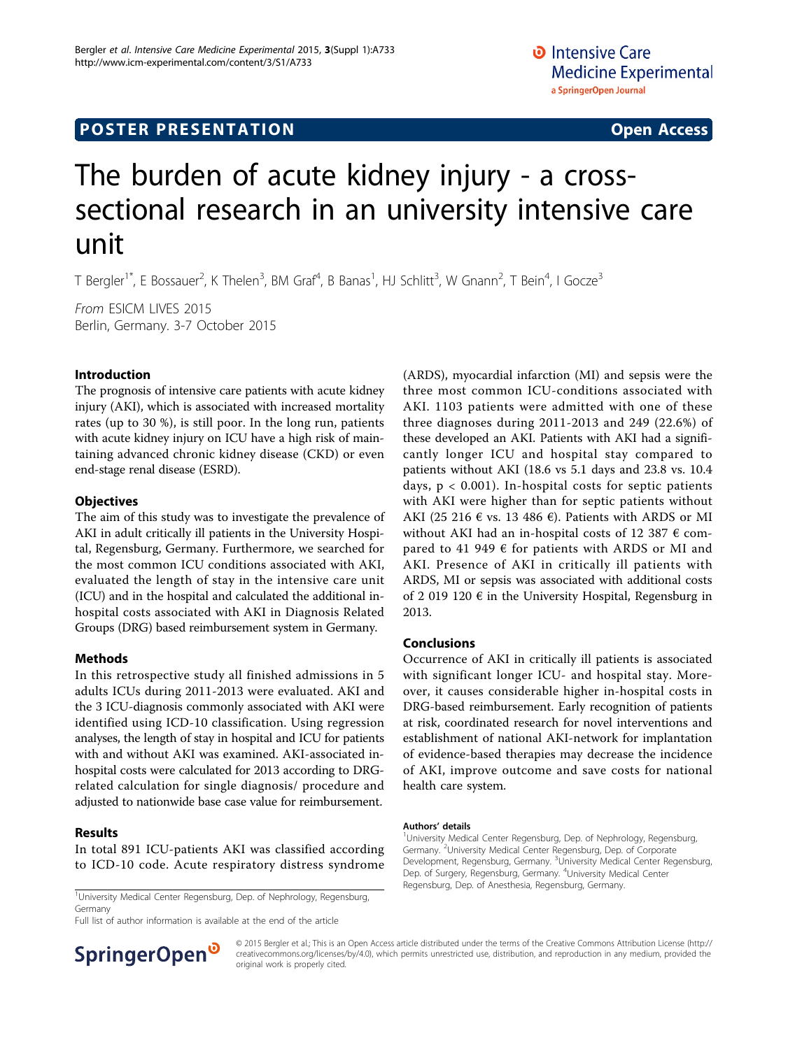## **POSTER PRESENTATION CONSUMING THE SERVICE SERVICE SERVICES**

# The burden of acute kidney injury - a crosssectional research in an university intensive care unit

T Bergler<sup>1\*</sup>, E Bossauer<sup>2</sup>, K Thelen<sup>3</sup>, BM Graf<sup>4</sup>, B Banas<sup>1</sup>, HJ Schlitt<sup>3</sup>, W Gnann<sup>2</sup>, T Bein<sup>4</sup>, I Gocze<sup>3</sup>

From ESICM LIVES 2015 Berlin, Germany. 3-7 October 2015

#### Introduction

The prognosis of intensive care patients with acute kidney injury (AKI), which is associated with increased mortality rates (up to 30 %), is still poor. In the long run, patients with acute kidney injury on ICU have a high risk of maintaining advanced chronic kidney disease (CKD) or even end-stage renal disease (ESRD).

#### **Objectives**

The aim of this study was to investigate the prevalence of AKI in adult critically ill patients in the University Hospital, Regensburg, Germany. Furthermore, we searched for the most common ICU conditions associated with AKI, evaluated the length of stay in the intensive care unit (ICU) and in the hospital and calculated the additional inhospital costs associated with AKI in Diagnosis Related Groups (DRG) based reimbursement system in Germany.

#### Methods

In this retrospective study all finished admissions in 5 adults ICUs during 2011-2013 were evaluated. AKI and the 3 ICU-diagnosis commonly associated with AKI were identified using ICD-10 classification. Using regression analyses, the length of stay in hospital and ICU for patients with and without AKI was examined. AKI-associated inhospital costs were calculated for 2013 according to DRGrelated calculation for single diagnosis/ procedure and adjusted to nationwide base case value for reimbursement.

#### Results

In total 891 ICU-patients AKI was classified according to ICD-10 code. Acute respiratory distress syndrome

<sup>1</sup>University Medical Center Regensburg, Dep. of Nephrology, Regensburg, Megensburg, Dep. of Anesthesia, Regensburg, Germany.<br><sup>1</sup>University Medical Center Regensburg, Dep. of Nephrology, Regensburg, Germany

Full list of author information is available at the end of the article



#### Conclusions

Occurrence of AKI in critically ill patients is associated with significant longer ICU- and hospital stay. Moreover, it causes considerable higher in-hospital costs in DRG-based reimbursement. Early recognition of patients at risk, coordinated research for novel interventions and establishment of national AKI-network for implantation of evidence-based therapies may decrease the incidence of AKI, improve outcome and save costs for national health care system.

#### Authors' details <sup>1</sup>

<sup>1</sup>University Medical Center Regensburg, Dep. of Nephrology, Regensburg, Germany.<sup>2</sup>University Medical Center Regensburg, Dep. of Corporate Development, Regensburg, Germany. <sup>3</sup>University Medical Center Regensburg Dep. of Surgery, Regensburg, Germany. <sup>4</sup>University Medical Center



© 2015 Bergler et al.; This is an Open Access article distributed under the terms of the Creative Commons Attribution License [\(http://](http://creativecommons.org/licenses/by/4.0) [creativecommons.org/licenses/by/4.0](http://creativecommons.org/licenses/by/4.0)), which permits unrestricted use, distribution, and reproduction in any medium, provided the original work is properly cited.